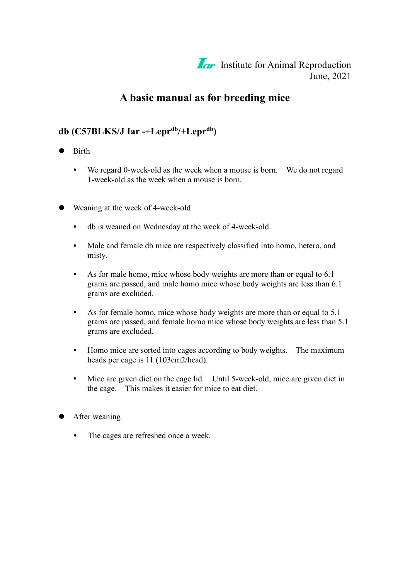

# **A basic manual as for breeding mice**

### **db (C57BLKS/J Iar -+Lepr db /+Lepr db )**

- **•** Birth
	- $\bullet$ We regard 0-week-old as the week when a mouse is born. We do not regard 1-week-old as the week when a mouse is born.
- Weaning at the week of 4-week-old
	- db is weaned on Wednesday at the week of 4-week-old.  $\bullet$
	- Male and female db mice are respectively classified into homo, hetero, and  $\bullet$ misty.
	- As for male homo, mice whose body weights are more than or equal to 6.1  $\bullet$ grams are passed, and male homo mice whose body weights are less than 6.1 grams are excluded.
	- As for female homo, mice whose body weights are more than or equal to 5.1  $\bullet$ grams are passed, and female homo mice whose body weights are less than 5.1 grams are excluded.
	- Homo mice are sorted into cages according to body weights. The maximum  $\bullet$ heads per cage is 11 (103cm2/head).
	- Mice are given diet on the cage lid. Until 5-week-old, mice are given diet in  $\bullet$ the cage. This makes it easier for mice to eat diet.
- **•** After weaning
	- The cages are refreshed once a week. $\bullet$